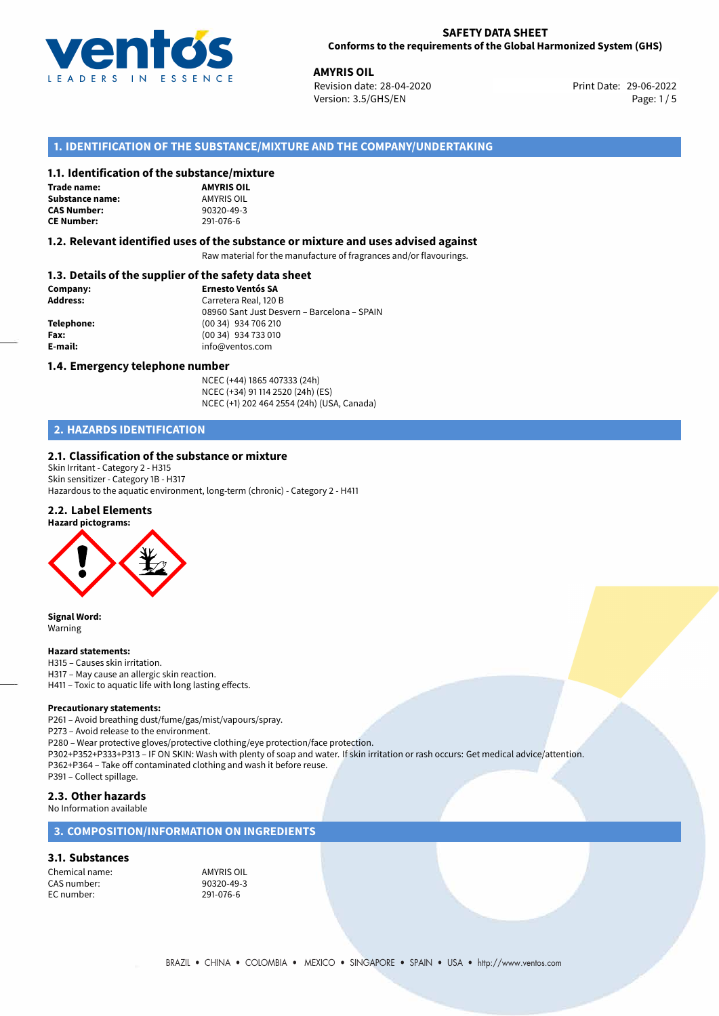

**AMYRIS OIL**<br>29-06-2022 **Revision date: 28-04-2020** Print Date: 29-06-2022 Version: 3.5/GHS/EN Page: 1/5

# **1. IDENTIFICATION OF THE SUBSTANCE/MIXTURE AND THE COMPANY/UNDERTAKING**

## **1.1. Identification of the substance/mixture**

#### **Trade name:** Substance name:

**CAS Number: CE Number:** 291-076-6

| <b>AMYRIS OIL</b> |
|-------------------|
| AMYRIS OIL        |
| 90320-49-3        |
| 291-076-6         |

## **1.2. Relevant identified uses of the substance or mixture and uses advised against**

Raw material for the manufacture of fragrances and/or flavourings.

# **1.3. Details of the supplier of the safety data sheet**

| Company:        | <b>Ernesto Ventós SA</b>                    |  |
|-----------------|---------------------------------------------|--|
| <b>Address:</b> | Carretera Real, 120 B                       |  |
|                 | 08960 Sant Just Desvern - Barcelona - SPAIN |  |
| Telephone:      | (00 34) 934 706 210                         |  |
| Fax:            | (00 34) 934 733 010                         |  |
| E-mail:         | info@ventos.com                             |  |
|                 |                                             |  |

#### **1.4. Emergency telephone number**

NCEC (+44) 1865 407333 (24h) NCEC (+34) 91 114 2520 (24h) (ES) NCEC (+1) 202 464 2554 (24h) (USA, Canada)

# **2. HAZARDS IDENTIFICATION**

## **2.1. Classification of the substance or mixture**

Skin Irritant - Category 2 - H315 Skin sensitizer - Category 1B - H317 Hazardous to the aquatic environment, long-term (chronic) - Category 2 - H411

## **2.2. Label Elements**



**Signal Word:** Warning

#### **Hazard statements:**

H315 – Causes skin irritation. H317 – May cause an allergic skin reaction. H411 – Toxic to aquatic life with long lasting effects.

#### **Precautionary statements:**

P261 – Avoid breathing dust/fume/gas/mist/vapours/spray.

P273 – Avoid release to the environment.

P280 – Wear protective gloves/protective clothing/eye protection/face protection.

P302+P352+P333+P313 – IF ON SKIN: Wash with plenty of soap and water. If skin irritation or rash occurs: Get medical advice/attention. P362+P364 – Take off contaminated clothing and wash it before reuse.

P391 – Collect spillage.

## **2.3. Other hazards**

No Information available

# **3. COMPOSITION/INFORMATION ON INGREDIENTS**

#### **3.1. Substances**

Chemical name:<br>
CAS number: 
90320-49-3 CAS number: 90320-49-2012<br>EC number: 291-076-6 EC number: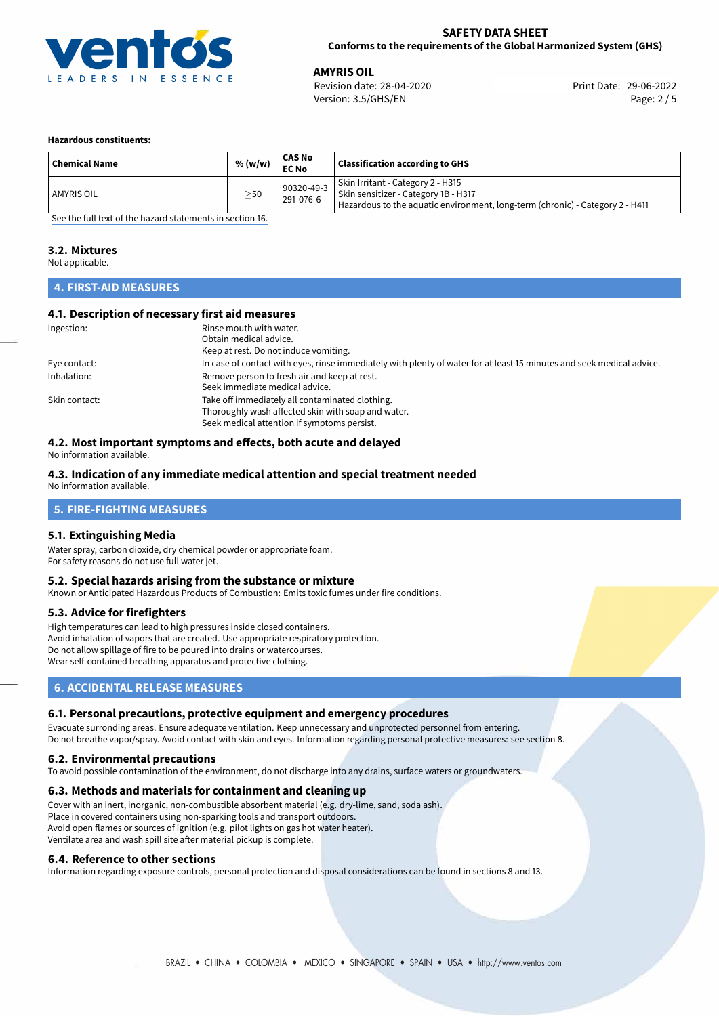

**AMYRIS OIL**<br>
Revision date: 28-04-2020 **Alta and America Control Control Print** Date: 29-06-2022 Version: 3.5/GHS/EN Page: 2 / 5

#### **Hazardous constituents:**

| <b>Chemical Name</b> | % (w/w)   | <b>CAS No</b><br><b>EC No</b> | <b>Classification according to GHS</b>                                                                                                                     |
|----------------------|-----------|-------------------------------|------------------------------------------------------------------------------------------------------------------------------------------------------------|
| <b>AMYRIS OIL</b>    | $\geq$ 50 | 90320-49-3<br>291-076-6       | Skin Irritant - Category 2 - H315<br>Skin sensitizer - Category 1B - H317<br>Hazardous to the aquatic environment, long-term (chronic) - Category 2 - H411 |

[See the full text of the hazard statements in section 16.](#page-4-0)

### **3.2. Mixtures**

Not applicable.

# **4. FIRST-AID MEASURES**

## **4.1. Description of necessary first aid measures**

| Ingestion:    | Rinse mouth with water.                                                                                               |
|---------------|-----------------------------------------------------------------------------------------------------------------------|
|               | Obtain medical advice.                                                                                                |
|               | Keep at rest. Do not induce vomiting.                                                                                 |
| Eye contact:  | In case of contact with eyes, rinse immediately with plenty of water for at least 15 minutes and seek medical advice. |
| Inhalation:   | Remove person to fresh air and keep at rest.                                                                          |
|               | Seek immediate medical advice.                                                                                        |
| Skin contact: | Take off immediately all contaminated clothing.                                                                       |
|               | Thoroughly wash affected skin with soap and water.                                                                    |
|               | Seek medical attention if symptoms persist.                                                                           |

# **4.2. Most important symptoms and effects, both acute and delayed**

No information available.

### **4.3. Indication of any immediate medical attention and special treatment needed**

No information available.

# **5. FIRE-FIGHTING MEASURES**

#### **5.1. Extinguishing Media**

Water spray, carbon dioxide, dry chemical powder or appropriate foam. For safety reasons do not use full water jet.

## **5.2. Special hazards arising from the substance or mixture**

Known or Anticipated Hazardous Products of Combustion: Emits toxic fumes under fire conditions.

#### **5.3. Advice for firefighters**

High temperatures can lead to high pressures inside closed containers. Avoid inhalation of vapors that are created. Use appropriate respiratory protection. Do not allow spillage of fire to be poured into drains or watercourses. Wear self-contained breathing apparatus and protective clothing.

# **6. ACCIDENTAL RELEASE MEASURES**

#### **6.1. Personal precautions, protective equipment and emergency procedures**

Evacuate surronding areas. Ensure adequate ventilation. Keep unnecessary and unprotected personnel from entering. Do not breathe vapor/spray. Avoid contact with skin and eyes. Information regarding personal protective measures: see section 8.

#### **6.2. Environmental precautions**

To avoid possible contamination of the environment, do not discharge into any drains, surface waters or groundwaters.

#### **6.3. Methods and materials for containment and cleaning up**

Cover with an inert, inorganic, non-combustible absorbent material (e.g. dry-lime, sand, soda ash). Place in covered containers using non-sparking tools and transport outdoors. Avoid open flames or sources of ignition (e.g. pilot lights on gas hot water heater). Ventilate area and wash spill site after material pickup is complete.

#### **6.4. Reference to other sections**

Information regarding exposure controls, personal protection and disposal considerations can be found in sections 8 and 13.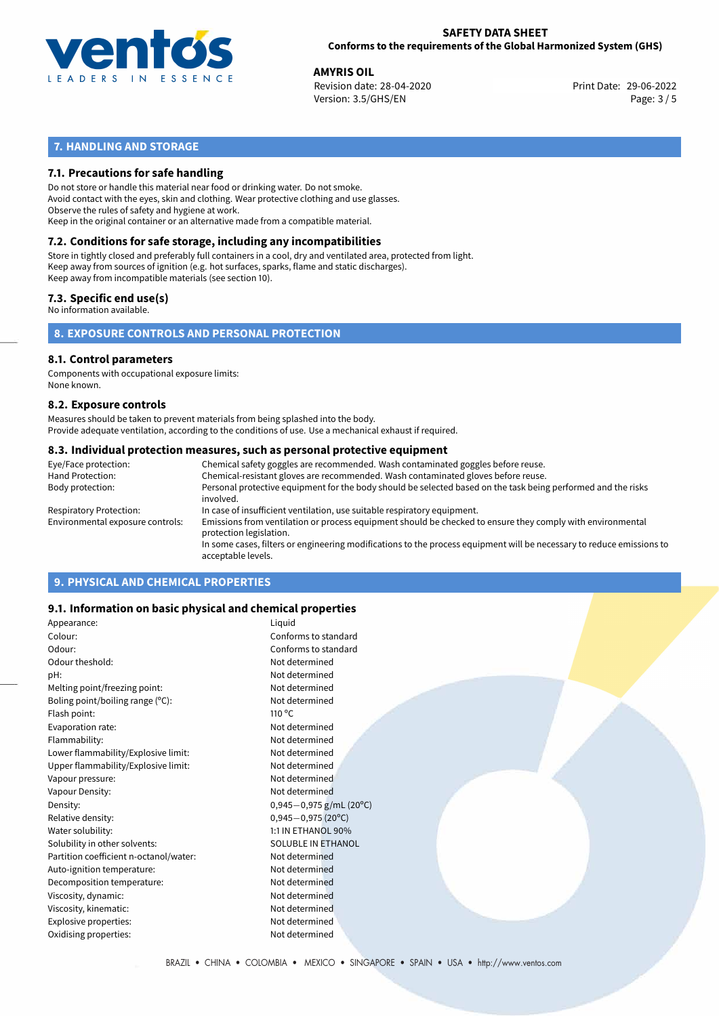

**AMYRIS OIL**<br>
Revision date: 28-04-2020 **Alta and America Control Control Print** Date: 29-06-2022 Version: 3.5/GHS/EN Page: 3 / 5

# **7. HANDLING AND STORAGE**

# **7.1. Precautions for safe handling**

Do not store or handle this material near food or drinking water. Do not smoke. Avoid contact with the eyes, skin and clothing. Wear protective clothing and use glasses. Observe the rules of safety and hygiene at work. Keep in the original container or an alternative made from a compatible material.

# **7.2. Conditions for safe storage, including any incompatibilities**

Store in tightly closed and preferably full containers in a cool, dry and ventilated area, protected from light. Keep away from sources of ignition (e.g. hot surfaces, sparks, flame and static discharges). Keep away from incompatible materials (see section 10).

## **7.3. Specific end use(s)**

No information available.

**8. EXPOSURE CONTROLS AND PERSONAL PROTECTION**

# **8.1. Control parameters**

Components with occupational exposure limits: None known.

### **8.2. Exposure controls**

Measures should be taken to prevent materials from being splashed into the body. Provide adequate ventilation, according to the conditions of use. Use a mechanical exhaust if required.

### **8.3. Individual protection measures, such as personal protective equipment**

| Eye/Face protection:             | Chemical safety goggles are recommended. Wash contaminated goggles before reuse.                                                            |
|----------------------------------|---------------------------------------------------------------------------------------------------------------------------------------------|
| Hand Protection:                 | Chemical-resistant gloves are recommended. Wash contaminated gloves before reuse.                                                           |
| Body protection:                 | Personal protective equipment for the body should be selected based on the task being performed and the risks<br>involved.                  |
| Respiratory Protection:          | In case of insufficient ventilation, use suitable respiratory equipment.                                                                    |
| Environmental exposure controls: | Emissions from ventilation or process equipment should be checked to ensure they comply with environmental<br>protection legislation.       |
|                                  | In some cases, filters or engineering modifications to the process equipment will be necessary to reduce emissions to<br>acceptable levels. |
|                                  |                                                                                                                                             |

# **9. PHYSICAL AND CHEMICAL PROPERTIES**

## **9.1. Information on basic physical and chemical properties**

| Appearance:                            | Liquid                    |
|----------------------------------------|---------------------------|
| Colour:                                | Conforms to standard      |
| Odour:                                 | Conforms to standard      |
| Odour theshold:                        | Not determined            |
| pH:                                    | Not determined            |
| Melting point/freezing point:          | Not determined            |
| Boling point/boiling range (°C):       | Not determined            |
| Flash point:                           | $110^{\circ}$ C           |
| Evaporation rate:                      | Not determined            |
| Flammability:                          | Not determined            |
| Lower flammability/Explosive limit:    | Not determined            |
| Upper flammability/Explosive limit:    | Not determined            |
| Vapour pressure:                       | Not determined            |
| Vapour Density:                        | Not determined            |
| Density:                               | $0,945-0,975$ g/mL (20°C) |
| Relative density:                      | $0,945 - 0,975(20°C)$     |
| Water solubility:                      | 1:1 IN ETHANOL 90%        |
| Solubility in other solvents:          | SOLUBLE IN ETHANOL        |
| Partition coefficient n-octanol/water: | Not determined            |
| Auto-ignition temperature:             | Not determined            |
| Decomposition temperature:             | Not determined            |
| Viscosity, dynamic:                    | Not determined            |
| Viscosity, kinematic:                  | Not determined            |
| Explosive properties:                  | Not determined            |
| Oxidising properties:                  | Not determined            |
|                                        |                           |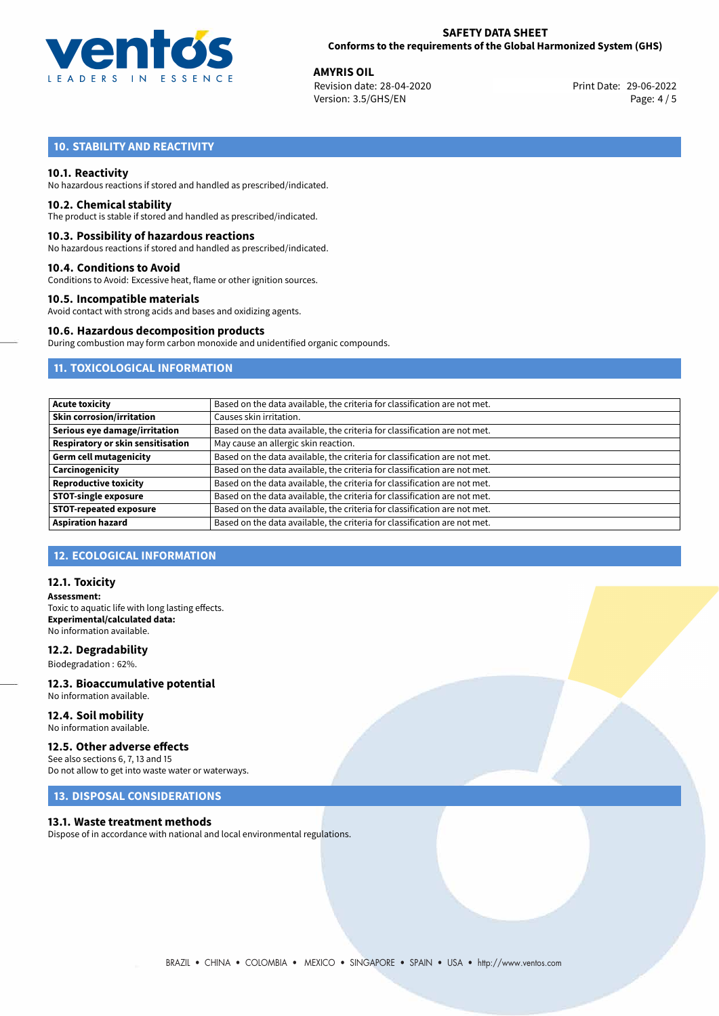

**AMYRIS OIL**<br>
Revision date: 28-04-2020 **Alta and America Control Control Print** Date: 29-06-2022 Version: 3.5/GHS/EN Page: 4 / 5

# **10. STABILITY AND REACTIVITY**

## **10.1. Reactivity**

No hazardous reactions if stored and handled as prescribed/indicated.

#### **10.2. Chemical stability**

The product is stable if stored and handled as prescribed/indicated.

### **10.3. Possibility of hazardous reactions**

No hazardous reactions if stored and handled as prescribed/indicated.

#### **10.4. Conditions to Avoid**

Conditions to Avoid: Excessive heat, flame or other ignition sources.

### **10.5. Incompatible materials**

Avoid contact with strong acids and bases and oxidizing agents.

#### **10.6. Hazardous decomposition products**

During combustion may form carbon monoxide and unidentified organic compounds.

# **11. TOXICOLOGICAL INFORMATION**

| <b>Acute toxicity</b>                    | Based on the data available, the criteria for classification are not met. |
|------------------------------------------|---------------------------------------------------------------------------|
| <b>Skin corrosion/irritation</b>         | Causes skin irritation.                                                   |
| Serious eye damage/irritation            | Based on the data available, the criteria for classification are not met. |
| <b>Respiratory or skin sensitisation</b> | May cause an allergic skin reaction.                                      |
| <b>Germ cell mutagenicity</b>            | Based on the data available, the criteria for classification are not met. |
| Carcinogenicity                          | Based on the data available, the criteria for classification are not met. |
| <b>Reproductive toxicity</b>             | Based on the data available, the criteria for classification are not met. |
| <b>STOT-single exposure</b>              | Based on the data available, the criteria for classification are not met. |
| <b>STOT-repeated exposure</b>            | Based on the data available, the criteria for classification are not met. |
| <b>Aspiration hazard</b>                 | Based on the data available, the criteria for classification are not met. |

# **12. ECOLOGICAL INFORMATION**

## **12.1. Toxicity**

**Assessment:** Toxic to aquatic life with long lasting effects. **Experimental/calculated data:** No information available.

## **12.2. Degradability**

Biodegradation : 62%.

#### **12.3. Bioaccumulative potential** No information available.

# **12.4. Soil mobility**

No information available.

# **12.5. Other adverse effects**

See also sections 6, 7, 13 and 15 Do not allow to get into waste water or waterways.

## **13. DISPOSAL CONSIDERATIONS**

#### **13.1. Waste treatment methods**

Dispose of in accordance with national and local environmental regulations.